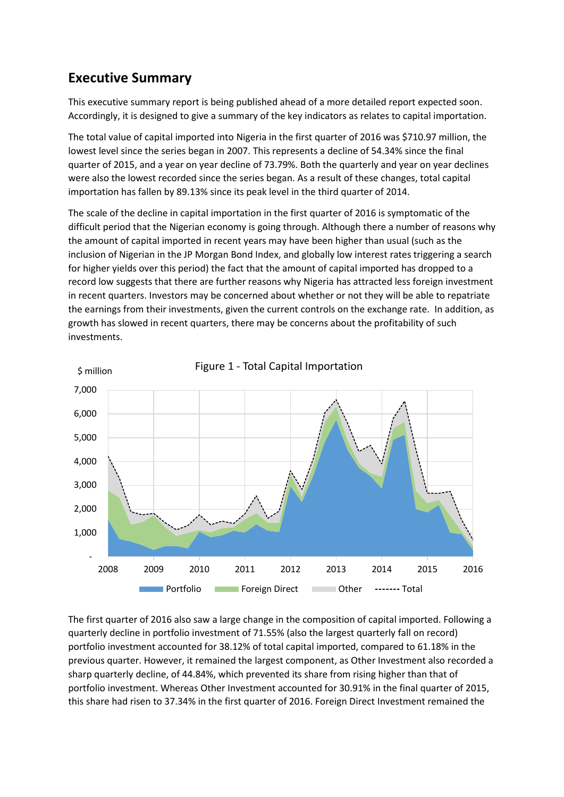## **Executive Summary**

This executive summary report is being published ahead of a more detailed report expected soon. Accordingly, it is designed to give a summary of the key indicators as relates to capital importation.

The total value of capital imported into Nigeria in the first quarter of 2016 was \$710.97 million, the lowest level since the series began in 2007. This represents a decline of 54.34% since the final quarter of 2015, and a year on year decline of 73.79%. Both the quarterly and year on year declines were also the lowest recorded since the series began. As a result of these changes, total capital importation has fallen by 89.13% since its peak level in the third quarter of 2014.

The scale of the decline in capital importation in the first quarter of 2016 is symptomatic of the difficult period that the Nigerian economy is going through. Although there a number of reasons why the amount of capital imported in recent years may have been higher than usual (such as the inclusion of Nigerian in the JP Morgan Bond Index, and globally low interest rates triggering a search for higher yields over this period) the fact that the amount of capital imported has dropped to a record low suggests that there are further reasons why Nigeria has attracted less foreign investment in recent quarters. Investors may be concerned about whether or not they will be able to repatriate the earnings from their investments, given the current controls on the exchange rate. In addition, as growth has slowed in recent quarters, there may be concerns about the profitability of such investments.



The first quarter of 2016 also saw a large change in the composition of capital imported. Following a quarterly decline in portfolio investment of 71.55% (also the largest quarterly fall on record) portfolio investment accounted for 38.12% of total capital imported, compared to 61.18% in the previous quarter. However, it remained the largest component, as Other Investment also recorded a sharp quarterly decline, of 44.84%, which prevented its share from rising higher than that of portfolio investment. Whereas Other Investment accounted for 30.91% in the final quarter of 2015, this share had risen to 37.34% in the first quarter of 2016. Foreign Direct Investment remained the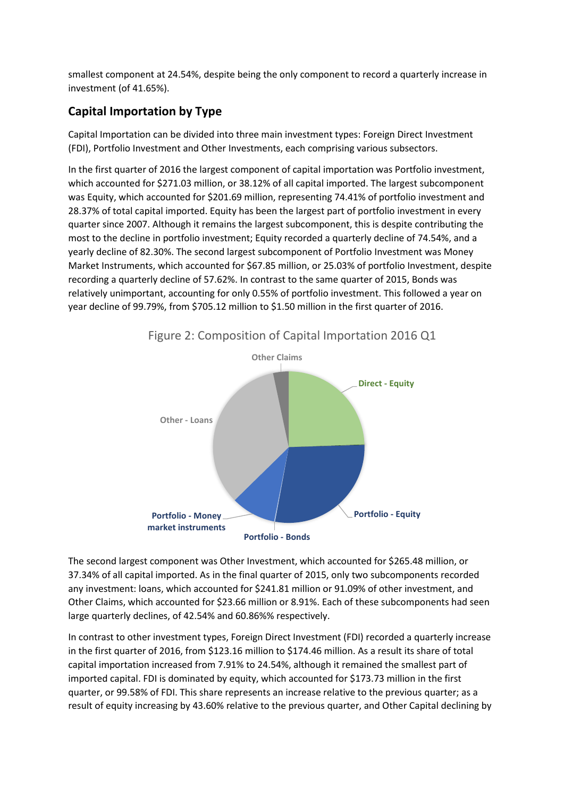smallest component at 24.54%, despite being the only component to record a quarterly increase in investment (of 41.65%).

## **Capital Importation by Type**

Capital Importation can be divided into three main investment types: Foreign Direct Investment (FDI), Portfolio Investment and Other Investments, each comprising various subsectors.

In the first quarter of 2016 the largest component of capital importation was Portfolio investment, which accounted for \$271.03 million, or 38.12% of all capital imported. The largest subcomponent was Equity, which accounted for \$201.69 million, representing 74.41% of portfolio investment and 28.37% of total capital imported. Equity has been the largest part of portfolio investment in every quarter since 2007. Although it remains the largest subcomponent, this is despite contributing the most to the decline in portfolio investment; Equity recorded a quarterly decline of 74.54%, and a yearly decline of 82.30%. The second largest subcomponent of Portfolio Investment was Money Market Instruments, which accounted for \$67.85 million, or 25.03% of portfolio Investment, despite recording a quarterly decline of 57.62%. In contrast to the same quarter of 2015, Bonds was relatively unimportant, accounting for only 0.55% of portfolio investment. This followed a year on year decline of 99.79%, from \$705.12 million to \$1.50 million in the first quarter of 2016.



Figure 2: Composition of Capital Importation 2016 Q1

The second largest component was Other Investment, which accounted for \$265.48 million, or 37.34% of all capital imported. As in the final quarter of 2015, only two subcomponents recorded any investment: loans, which accounted for \$241.81 million or 91.09% of other investment, and Other Claims, which accounted for \$23.66 million or 8.91%. Each of these subcomponents had seen large quarterly declines, of 42.54% and 60.86%% respectively.

In contrast to other investment types, Foreign Direct Investment (FDI) recorded a quarterly increase in the first quarter of 2016, from \$123.16 million to \$174.46 million. As a result its share of total capital importation increased from 7.91% to 24.54%, although it remained the smallest part of imported capital. FDI is dominated by equity, which accounted for \$173.73 million in the first quarter, or 99.58% of FDI. This share represents an increase relative to the previous quarter; as a result of equity increasing by 43.60% relative to the previous quarter, and Other Capital declining by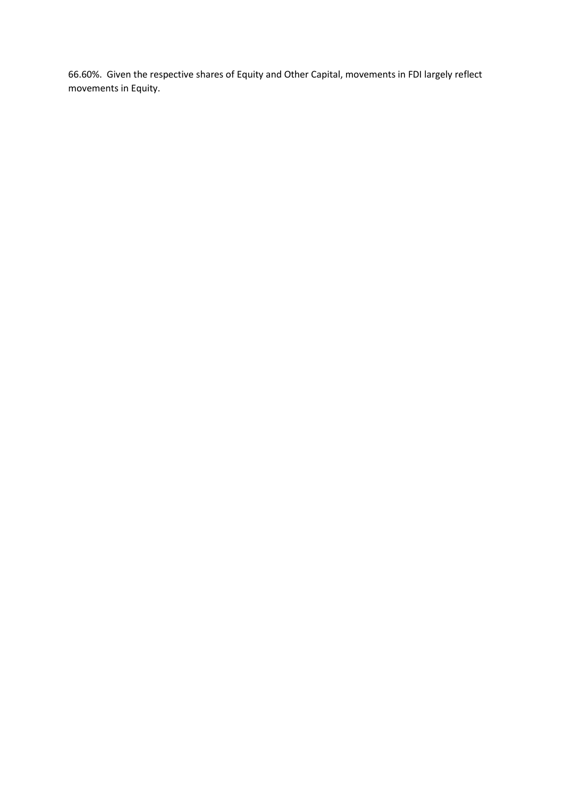66.60%. Given the respective shares of Equity and Other Capital, movements in FDI largely reflect movements in Equity.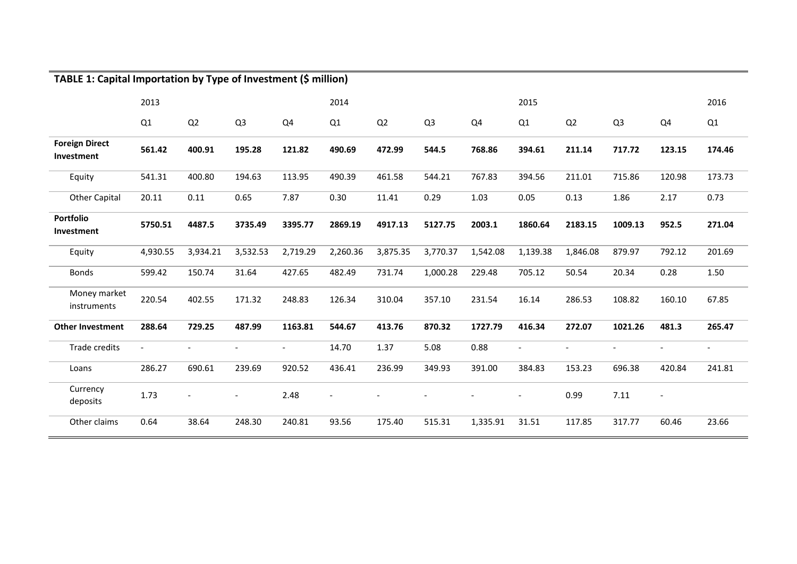| TABLE 1: Capital Importation by Type of Investment (\$ million) |          |          |                       |                          |          |          |                |          |          |          |                |                |                          |
|-----------------------------------------------------------------|----------|----------|-----------------------|--------------------------|----------|----------|----------------|----------|----------|----------|----------------|----------------|--------------------------|
|                                                                 | 2013     |          |                       |                          | 2014     |          |                |          | 2015     | 2016     |                |                |                          |
|                                                                 | Q1       | Q2       | Q <sub>3</sub>        | Q4                       | Q1       | Q2       | Q <sub>3</sub> | Q4       | Q1       | Q2       | Q <sub>3</sub> | Q4             | Q1                       |
| <b>Foreign Direct</b><br>Investment                             | 561.42   | 400.91   | 195.28                | 121.82                   | 490.69   | 472.99   | 544.5          | 768.86   | 394.61   | 211.14   | 717.72         | 123.15         | 174.46                   |
| Equity                                                          | 541.31   | 400.80   | 194.63                | 113.95                   | 490.39   | 461.58   | 544.21         | 767.83   | 394.56   | 211.01   | 715.86         | 120.98         | 173.73                   |
| <b>Other Capital</b>                                            | 20.11    | 0.11     | 0.65                  | 7.87                     | 0.30     | 11.41    | 0.29           | 1.03     | 0.05     | 0.13     | 1.86           | 2.17           | 0.73                     |
| Portfolio<br>Investment                                         | 5750.51  | 4487.5   | 3735.49               | 3395.77                  | 2869.19  | 4917.13  | 5127.75        | 2003.1   | 1860.64  | 2183.15  | 1009.13        | 952.5          | 271.04                   |
| Equity                                                          | 4,930.55 | 3,934.21 | 3,532.53              | 2,719.29                 | 2,260.36 | 3,875.35 | 3,770.37       | 1,542.08 | 1,139.38 | 1,846.08 | 879.97         | 792.12         | 201.69                   |
| <b>Bonds</b>                                                    | 599.42   | 150.74   | 31.64                 | 427.65                   | 482.49   | 731.74   | 1,000.28       | 229.48   | 705.12   | 50.54    | 20.34          | 0.28           | 1.50                     |
| Money market<br>instruments                                     | 220.54   | 402.55   | 171.32                | 248.83                   | 126.34   | 310.04   | 357.10         | 231.54   | 16.14    | 286.53   | 108.82         | 160.10         | 67.85                    |
| <b>Other Investment</b>                                         | 288.64   | 729.25   | 487.99                | 1163.81                  | 544.67   | 413.76   | 870.32         | 1727.79  | 416.34   | 272.07   | 1021.26        | 481.3          | 265.47                   |
| <b>Trade credits</b>                                            |          |          |                       | $\overline{\phantom{a}}$ | 14.70    | 1.37     | 5.08           | 0.88     |          |          |                |                | $\overline{\phantom{a}}$ |
| Loans                                                           | 286.27   | 690.61   | 239.69                | 920.52                   | 436.41   | 236.99   | 349.93         | 391.00   | 384.83   | 153.23   | 696.38         | 420.84         | 241.81                   |
| Currency<br>deposits                                            | 1.73     |          | $\tilde{\phantom{a}}$ | 2.48                     | L,       |          |                |          |          | 0.99     | 7.11           | $\overline{a}$ |                          |
| Other claims                                                    | 0.64     | 38.64    | 248.30                | 240.81                   | 93.56    | 175.40   | 515.31         | 1,335.91 | 31.51    | 117.85   | 317.77         | 60.46          | 23.66                    |